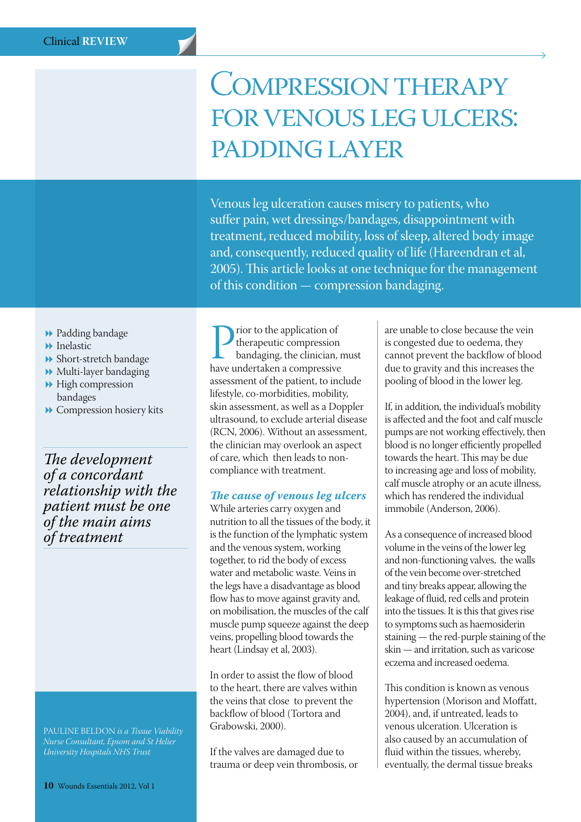# Compression therapy FOR VENOUS LEG ULCERS: padding layer

Venous leg ulceration causes misery to patients, who suffer pain, wet dressings/bandages, disappointment with treatment, reduced mobility, loss of sleep, altered body image and, consequently, reduced quality of life (Hareendran et al, 2005). This article looks at one technique for the management of this condition — compression bandaging.

- **D** Padding bandage
- $\blacktriangleright$  Inelastic
- **B** Short-stretch bandage
- $\blacktriangleright$  Multi-layer bandaging
- $\blacktriangleright$  High compression bandages
- $\rightarrow$  Compression hosiery kits

*The development of a concordant relationship with the patient must be one of the main aims of treatment*

PAULINE BELDON *is a Tissue Viability Nurse Consultant, Epsom and St Helier University Hospitals NHS Trust* 

**Propertier 1995** the application of the application of bandaging, the clinician, r have undertaken a compressive therapeutic compression bandaging, the clinician, must assessment of the patient, to include lifestyle, co-morbidities, mobility, skin assessment, as well as a Doppler ultrasound, to exclude arterial disease (RCN, 2006). Without an assessment, the clinician may overlook an aspect of care, which then leads to noncompliance with treatment.

### *The cause of venous leg ulcers*

While arteries carry oxygen and nutrition to all the tissues of the body, it is the function of the lymphatic system and the venous system, working together, to rid the body of excess water and metabolic waste. Veins in the legs have a disadvantage as blood flow has to move against gravity and, on mobilisation, the muscles of the calf muscle pump squeeze against the deep veins, propelling blood towards the heart (Lindsay et al, 2003).

In order to assist the flow of blood to the heart, there are valves within the veins that close to prevent the backflow of blood (Tortora and Grabowski, 2000).

If the valves are damaged due to trauma or deep vein thrombosis, or

are unable to close because the vein is congested due to oedema, they cannot prevent the backflow of blood due to gravity and this increases the pooling of blood in the lower leg.

If, in addition, the individual's mobility is affected and the foot and calf muscle pumps are not working effectively, then blood is no longer efficiently propelled towards the heart. This may be due to increasing age and loss of mobility, calf muscle atrophy or an acute illness, which has rendered the individual immobile (Anderson, 2006).

As a consequence of increased blood volume in the veins of the lower leg and non-functioning valves, the walls of the vein become over-stretched and tiny breaks appear, allowing the leakage of fluid, red cells and protein into the tissues. It is this that gives rise to symptoms such as haemosiderin staining — the red-purple staining of the skin — and irritation, such as varicose eczema and increased oedema.

This condition is known as venous hypertension (Morison and Moffatt, 2004), and, if untreated, leads to venous ulceration. Ulceration is also caused by an accumulation of fluid within the tissues, whereby, eventually, the dermal tissue breaks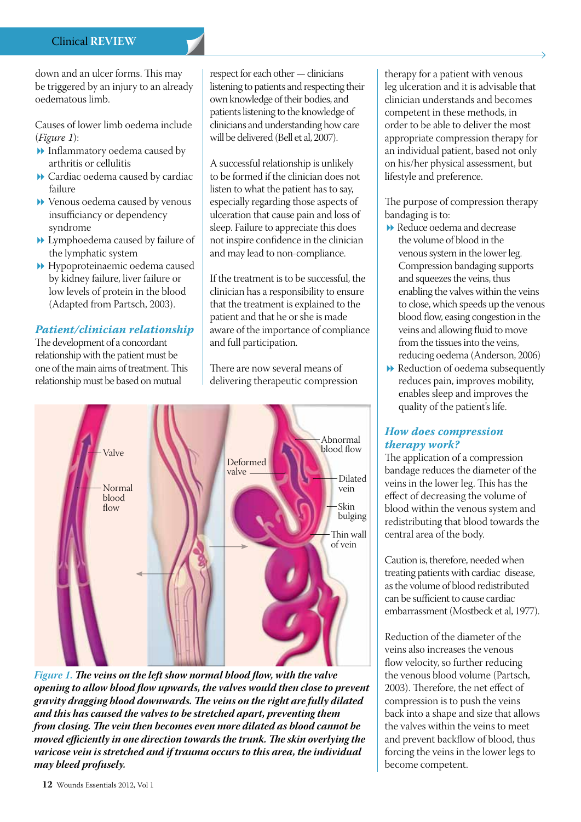down and an ulcer forms. This may be triggered by an injury to an already oedematous limb.

Causes of lower limb oedema include (*Figure 1*):

- $\blacktriangleright$  Inflammatory oedema caused by arthritis or cellulitis
- ▶ Cardiac oedema caused by cardiac failure
- ▶ Venous oedema caused by venous insufficiancy or dependency syndrome
- 8 Lymphoedema caused by failure of the lymphatic system
- 8 Hypoproteinaemic oedema caused by kidney failure, liver failure or low levels of protein in the blood (Adapted from Partsch, 2003).

# *Patient/clinician relationship*

The development of a concordant relationship with the patient must be one of the main aims of treatment. This relationship must be based on mutual

respect for each other — clinicians listening to patients and respecting their own knowledge of their bodies, and patients listening to the knowledge of clinicians and understanding how care will be delivered (Bell et al, 2007).

A successful relationship is unlikely to be formed if the clinician does not listen to what the patient has to say, especially regarding those aspects of ulceration that cause pain and loss of sleep. Failure to appreciate this does not inspire confidence in the clinician and may lead to non-compliance.

If the treatment is to be successful, the clinician has a responsibility to ensure that the treatment is explained to the patient and that he or she is made aware of the importance of compliance and full participation.

There are now several means of delivering therapeutic compression



*Figure 1. The veins on the left show normal blood flow, with the valve opening to allow blood flow upwards, the valves would then close to prevent gravity dragging blood downwards. The veins on the right are fully dilated and this has caused the valves to be stretched apart, preventing them from closing. The vein then becomes even more dilated as blood cannot be moved efficiently in one direction towards the trunk. The skin overlying the varicose vein is stretched and if trauma occurs to this area, the individual may bleed profusely.*

therapy for a patient with venous leg ulceration and it is advisable that clinician understands and becomes competent in these methods, in order to be able to deliver the most appropriate compression therapy for an individual patient, based not only on his/her physical assessment, but lifestyle and preference.

The purpose of compression therapy bandaging is to:

- ▶ Reduce oedema and decrease the volume of blood in the venous system in the lower leg. Compression bandaging supports and squeezes the veins, thus enabling the valves within the veins to close, which speeds up the venous blood flow, easing congestion in the veins and allowing fluid to move from the tissues into the veins, reducing oedema (Anderson, 2006)
- $\rightarrow$  Reduction of oedema subsequently reduces pain, improves mobility, enables sleep and improves the quality of the patient's life.

# *How does compression therapy work?*

The application of a compression bandage reduces the diameter of the veins in the lower leg. This has the effect of decreasing the volume of blood within the venous system and redistributing that blood towards the central area of the body.

Caution is, therefore, needed when treating patients with cardiac disease, as the volume of blood redistributed can be sufficient to cause cardiac embarrassment (Mostbeck et al, 1977).

Reduction of the diameter of the veins also increases the venous flow velocity, so further reducing the venous blood volume (Partsch, 2003). Therefore, the net effect of compression is to push the veins back into a shape and size that allows the valves within the veins to meet and prevent backflow of blood, thus forcing the veins in the lower legs to become competent.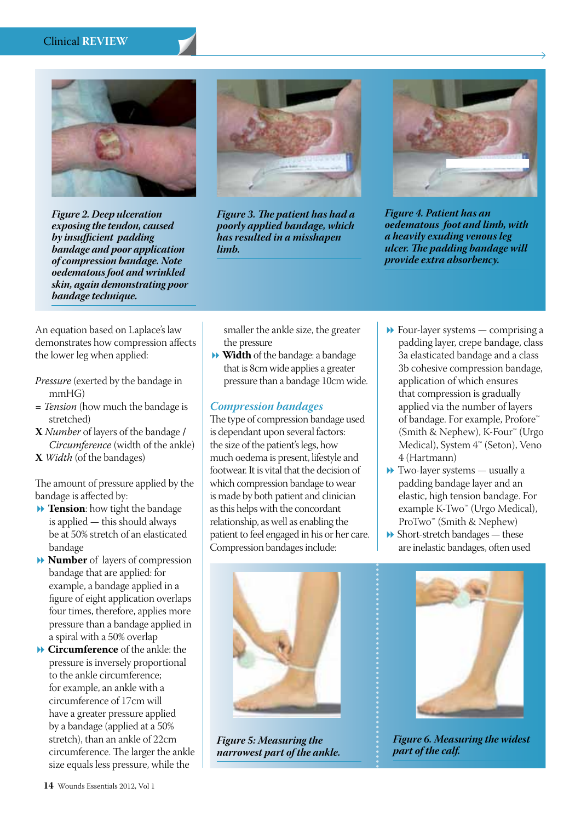#### Clinical **REVIEW**



*Figure 2. Deep ulceration exposing the tendon, caused by insufficient padding bandage and poor application of compression bandage. Note oedematous foot and wrinkled skin, again demonstrating poor bandage technique.*



*Figure 3. The patient has had a poorly applied bandage, which has resulted in a misshapen limb.*



*Figure 4. Patient has an oedematous foot and limb, with a heavily exuding venous leg ulcer. The padding bandage will provide extra absorbency.*

An equation based on Laplace's law demonstrates how compression affects the lower leg when applied:

- *Pressure* (exerted by the bandage in mmHG)
- **=** *Tension* (how much the bandage is stretched)
- **X** *Number* of layers of the bandage **/** *Circumference* (width of the ankle)

**X** *Width* (of the bandages)

The amount of pressure applied by the bandage is affected by:

- **1 Tension**: how tight the bandage is applied — this should always be at 50% stretch of an elasticated bandage
- 8 **Number** of layers of compression bandage that are applied: for example, a bandage applied in a figure of eight application overlaps four times, therefore, applies more pressure than a bandage applied in a spiral with a 50% overlap
- 8 **Circumference** of the ankle: the pressure is inversely proportional to the ankle circumference; for example, an ankle with a circumference of 17cm will have a greater pressure applied by a bandage (applied at a 50% stretch), than an ankle of 22cm circumference. The larger the ankle size equals less pressure, while the

smaller the ankle size, the greater the pressure

8**Width** of the bandage: a bandage that is 8cm wide applies a greater pressure than a bandage 10cm wide.

### *Compression bandages*

The type of compression bandage used is dependant upon several factors: the size of the patient's legs, how much oedema is present, lifestyle and footwear. It is vital that the decision of which compression bandage to wear is made by both patient and clinician as this helps with the concordant relationship, as well as enabling the patient to feel engaged in his or her care. Compression bandages include:

- $\blacktriangleright$  Four-layer systems comprising a padding layer, crepe bandage, class 3a elasticated bandage and a class 3b cohesive compression bandage, application of which ensures that compression is gradually applied via the number of layers of bandage. For example, Profore™ (Smith & Nephew), K-Four™ (Urgo Medical), System 4™ (Seton), Veno 4 (Hartmann)
- $\rightarrow$  Two-layer systems usually a padding bandage layer and an elastic, high tension bandage. For example K-Two<sup>™</sup> (Urgo Medical), ProTwo<sup>™</sup> (Smith & Nephew)
- $\rightarrow$  Short-stretch bandages these are inelastic bandages, often used



*Figure 5: Measuring the narrowest part of the ankle.*



*Figure 6. Measuring the widest part of the calf.*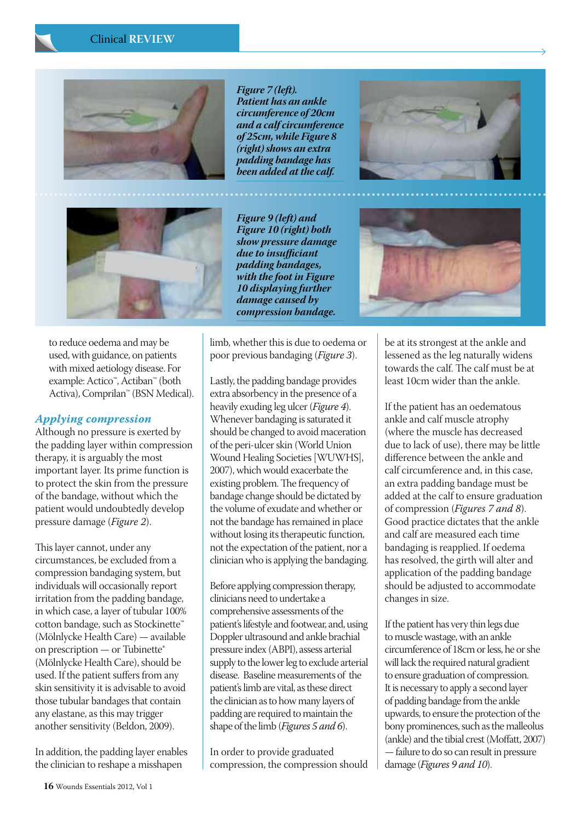



to reduce oedema and may be used, with guidance, on patients with mixed aetiology disease. For example: Actico™, Actiban™ (both Activa), Comprilan™ (BSN Medical).

#### *Applying compression*

Although no pressure is exerted by the padding layer within compression therapy, it is arguably the most important layer. Its prime function is to protect the skin from the pressure of the bandage, without which the patient would undoubtedly develop pressure damage (*Figure 2*).

This layer cannot, under any circumstances, be excluded from a compression bandaging system, but individuals will occasionally report irritation from the padding bandage, in which case, a layer of tubular 100% cotton bandage, such as Stockinette™ (Mölnlycke Health Care) — available on prescription — or Tubinette® (Mölnlycke Health Care), should be used. If the patient suffers from any skin sensitivity it is advisable to avoid those tubular bandages that contain any elastane, as this may trigger another sensitivity (Beldon, 2009).

In addition, the padding layer enables the clinician to reshape a misshapen

*Figure 7 (left). Patient has an ankle circumference of 20cm and a calf circumference of 25cm, while Figure 8 (right) shows an extra padding bandage has been added at the calf.*

*Figure 9 (left) and Figure 10 (right) both show pressure damage due to insufficiant padding bandages, with the foot in Figure 10 displaying further damage caused by compression bandage.*

limb, whether this is due to oedema or poor previous bandaging (*Figure 3*).

Lastly, the padding bandage provides extra absorbency in the presence of a heavily exuding leg ulcer (*Figure 4*). Whenever bandaging is saturated it should be changed to avoid maceration of the peri-ulcer skin (World Union Wound Healing Societies [WUWHS], 2007), which would exacerbate the existing problem. The frequency of bandage change should be dictated by the volume of exudate and whether or not the bandage has remained in place without losing its therapeutic function, not the expectation of the patient, nor a clinician who is applying the bandaging.

Before applying compression therapy, clinicians need to undertake a comprehensive assessments of the patient's lifestyle and footwear, and, using Doppler ultrasound and ankle brachial pressure index (ABPI), assess arterial supply to the lower leg to exclude arterial disease. Baseline measurements of the patient's limb are vital, as these direct the clinician as to how many layers of padding are required to maintain the shape of the limb (*Figures 5 and 6*).

In order to provide graduated compression, the compression should





be at its strongest at the ankle and lessened as the leg naturally widens towards the calf. The calf must be at least 10cm wider than the ankle.

If the patient has an oedematous ankle and calf muscle atrophy (where the muscle has decreased due to lack of use), there may be little difference between the ankle and calf circumference and, in this case, an extra padding bandage must be added at the calf to ensure graduation of compression (*Figures 7 and 8*). Good practice dictates that the ankle and calf are measured each time bandaging is reapplied. If oedema has resolved, the girth will alter and application of the padding bandage should be adjusted to accommodate changes in size.

If the patient has very thin legs due to muscle wastage, with an ankle circumference of 18cm or less, he or she will lack the required natural gradient to ensure graduation of compression. It is necessary to apply a second layer of padding bandage from the ankle upwards, to ensure the protection of the bony prominences, such as the malleolus (ankle) and the tibial crest (Moffatt, 2007) — failure to do so can result in pressure damage (*Figures 9 and 10*).